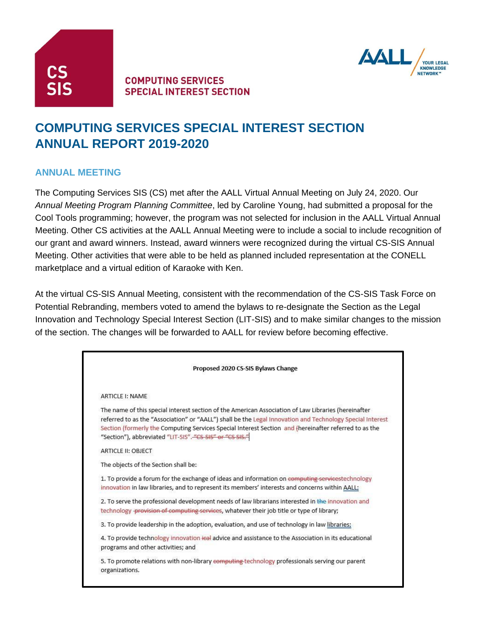

#### **COMPUTING SERVICES SPECIAL INTEREST SECTION**



# **COMPUTING SERVICES SPECIAL INTEREST SECTION ANNUAL REPORT 2019-2020**

#### **ANNUAL MEETING**

The Computing Services SIS (CS) met after the AALL Virtual Annual Meeting on July 24, 2020. Our *Annual Meeting Program Planning Committee*, led by Caroline Young, had submitted a proposal for the Cool Tools programming; however, the program was not selected for inclusion in the AALL Virtual Annual Meeting. Other CS activities at the AALL Annual Meeting were to include a social to include recognition of our grant and award winners. Instead, award winners were recognized during the virtual CS-SIS Annual Meeting. Other activities that were able to be held as planned included representation at the CONELL marketplace and a virtual edition of Karaoke with Ken.

At the virtual CS-SIS Annual Meeting, consistent with the recommendation of the CS-SIS Task Force on Potential Rebranding, members voted to amend the bylaws to re-designate the Section as the Legal Innovation and Technology Special Interest Section (LIT-SIS) and to make similar changes to the mission of the section. The changes will be forwarded to AALL for review before becoming effective.